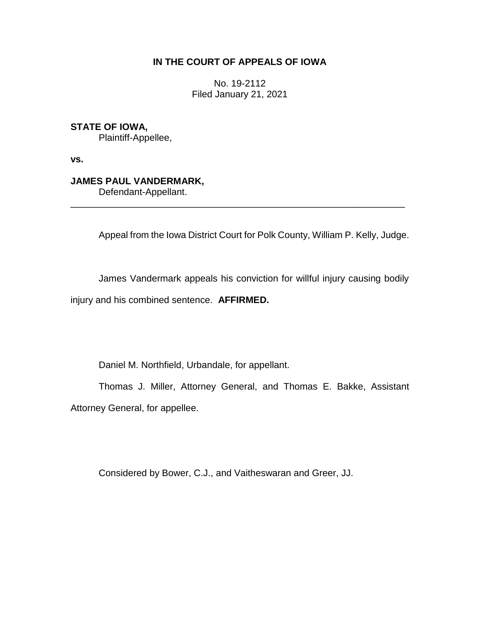## **IN THE COURT OF APPEALS OF IOWA**

No. 19-2112 Filed January 21, 2021

**STATE OF IOWA,**

Plaintiff-Appellee,

**vs.**

# **JAMES PAUL VANDERMARK,**

Defendant-Appellant.

Appeal from the Iowa District Court for Polk County, William P. Kelly, Judge.

James Vandermark appeals his conviction for willful injury causing bodily injury and his combined sentence. **AFFIRMED.**

\_\_\_\_\_\_\_\_\_\_\_\_\_\_\_\_\_\_\_\_\_\_\_\_\_\_\_\_\_\_\_\_\_\_\_\_\_\_\_\_\_\_\_\_\_\_\_\_\_\_\_\_\_\_\_\_\_\_\_\_\_\_\_\_

Daniel M. Northfield, Urbandale, for appellant.

Thomas J. Miller, Attorney General, and Thomas E. Bakke, Assistant Attorney General, for appellee.

Considered by Bower, C.J., and Vaitheswaran and Greer, JJ.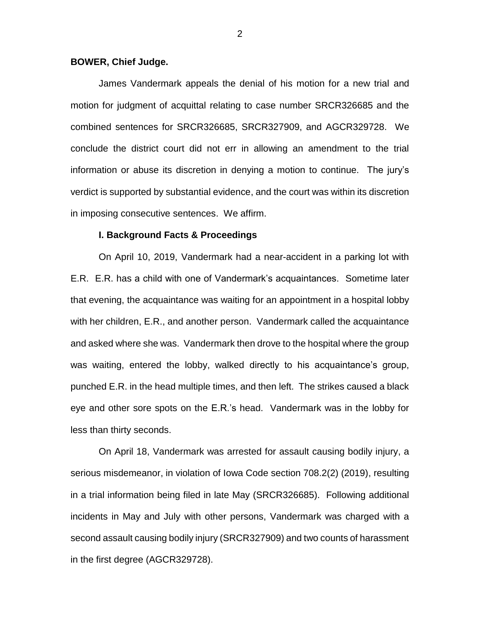### **BOWER, Chief Judge.**

James Vandermark appeals the denial of his motion for a new trial and motion for judgment of acquittal relating to case number SRCR326685 and the combined sentences for SRCR326685, SRCR327909, and AGCR329728. We conclude the district court did not err in allowing an amendment to the trial information or abuse its discretion in denying a motion to continue. The jury's verdict is supported by substantial evidence, and the court was within its discretion in imposing consecutive sentences. We affirm.

### **I. Background Facts & Proceedings**

On April 10, 2019, Vandermark had a near-accident in a parking lot with E.R. E.R. has a child with one of Vandermark's acquaintances. Sometime later that evening, the acquaintance was waiting for an appointment in a hospital lobby with her children, E.R., and another person. Vandermark called the acquaintance and asked where she was. Vandermark then drove to the hospital where the group was waiting, entered the lobby, walked directly to his acquaintance's group, punched E.R. in the head multiple times, and then left. The strikes caused a black eye and other sore spots on the E.R.'s head. Vandermark was in the lobby for less than thirty seconds.

On April 18, Vandermark was arrested for assault causing bodily injury, a serious misdemeanor, in violation of Iowa Code section 708.2(2) (2019), resulting in a trial information being filed in late May (SRCR326685). Following additional incidents in May and July with other persons, Vandermark was charged with a second assault causing bodily injury (SRCR327909) and two counts of harassment in the first degree (AGCR329728).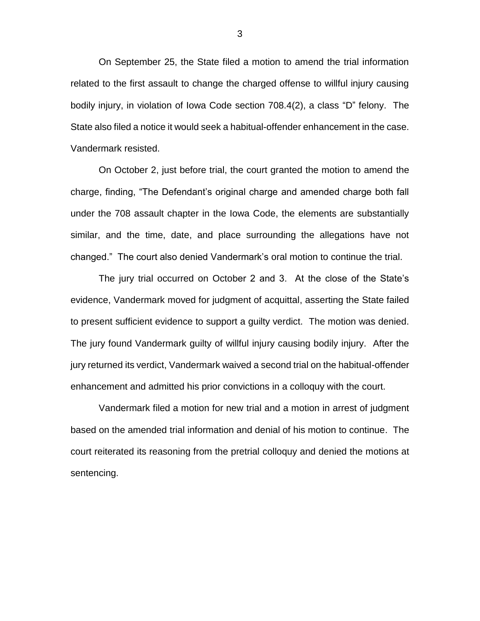On September 25, the State filed a motion to amend the trial information related to the first assault to change the charged offense to willful injury causing bodily injury, in violation of Iowa Code section 708.4(2), a class "D" felony. The State also filed a notice it would seek a habitual-offender enhancement in the case. Vandermark resisted.

On October 2, just before trial, the court granted the motion to amend the charge, finding, "The Defendant's original charge and amended charge both fall under the 708 assault chapter in the Iowa Code, the elements are substantially similar, and the time, date, and place surrounding the allegations have not changed." The court also denied Vandermark's oral motion to continue the trial.

The jury trial occurred on October 2 and 3. At the close of the State's evidence, Vandermark moved for judgment of acquittal, asserting the State failed to present sufficient evidence to support a guilty verdict. The motion was denied. The jury found Vandermark guilty of willful injury causing bodily injury. After the jury returned its verdict, Vandermark waived a second trial on the habitual-offender enhancement and admitted his prior convictions in a colloquy with the court.

Vandermark filed a motion for new trial and a motion in arrest of judgment based on the amended trial information and denial of his motion to continue. The court reiterated its reasoning from the pretrial colloquy and denied the motions at sentencing.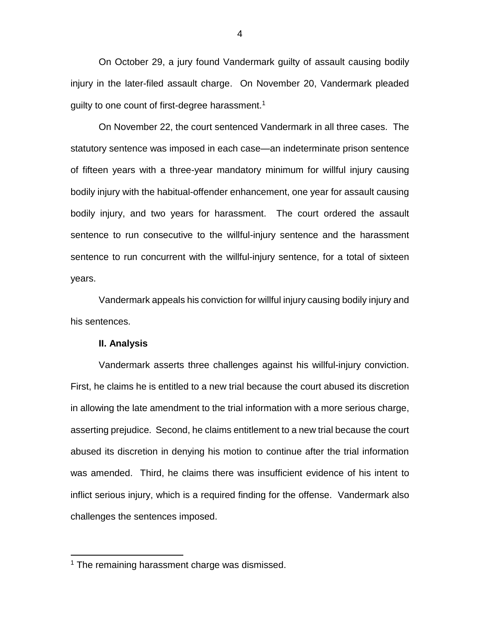On October 29, a jury found Vandermark guilty of assault causing bodily injury in the later-filed assault charge. On November 20, Vandermark pleaded guilty to one count of first-degree harassment.<sup>1</sup>

On November 22, the court sentenced Vandermark in all three cases. The statutory sentence was imposed in each case—an indeterminate prison sentence of fifteen years with a three-year mandatory minimum for willful injury causing bodily injury with the habitual-offender enhancement, one year for assault causing bodily injury, and two years for harassment. The court ordered the assault sentence to run consecutive to the willful-injury sentence and the harassment sentence to run concurrent with the willful-injury sentence, for a total of sixteen years.

Vandermark appeals his conviction for willful injury causing bodily injury and his sentences.

#### **II. Analysis**

 $\overline{a}$ 

Vandermark asserts three challenges against his willful-injury conviction. First, he claims he is entitled to a new trial because the court abused its discretion in allowing the late amendment to the trial information with a more serious charge, asserting prejudice. Second, he claims entitlement to a new trial because the court abused its discretion in denying his motion to continue after the trial information was amended. Third, he claims there was insufficient evidence of his intent to inflict serious injury, which is a required finding for the offense. Vandermark also challenges the sentences imposed.

<sup>&</sup>lt;sup>1</sup> The remaining harassment charge was dismissed.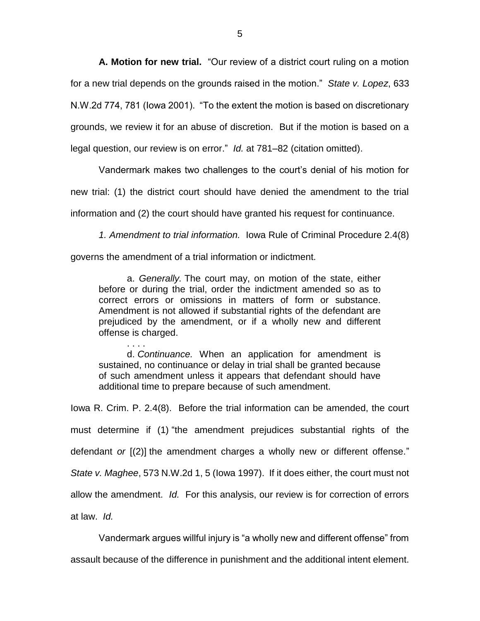**A. Motion for new trial.**"Our review of a district court ruling on a motion for a new trial depends on the grounds raised in the motion." *State v. Lopez*, 633 N.W.2d 774, 781 (Iowa 2001). "To the extent the motion is based on discretionary grounds, we review it for an abuse of discretion. But if the motion is based on a legal question, our review is on error." *Id.* at 781–82 (citation omitted).

Vandermark makes two challenges to the court's denial of his motion for new trial: (1) the district court should have denied the amendment to the trial information and (2) the court should have granted his request for continuance.

*1. Amendment to trial information.* Iowa Rule of Criminal Procedure 2.4(8)

governs the amendment of a trial information or indictment.

a. *Generally.* The court may, on motion of the state, either before or during the trial, order the indictment amended so as to correct errors or omissions in matters of form or substance. Amendment is not allowed if substantial rights of the defendant are prejudiced by the amendment, or if a wholly new and different offense is charged.

. . . . d. *Continuance.* When an application for amendment is sustained, no continuance or delay in trial shall be granted because of such amendment unless it appears that defendant should have additional time to prepare because of such amendment.

Iowa R. Crim. P. 2.4(8). Before the trial information can be amended, the court must determine if (1) "the amendment prejudices substantial rights of the defendant *or* [(2)] the amendment charges a wholly new or different offense." *State v. Maghee*, 573 N.W.2d 1, 5 (Iowa 1997). If it does either, the court must not allow the amendment. *Id.* For this analysis, our review is for correction of errors at law. *Id.*

Vandermark argues willful injury is "a wholly new and different offense" from assault because of the difference in punishment and the additional intent element.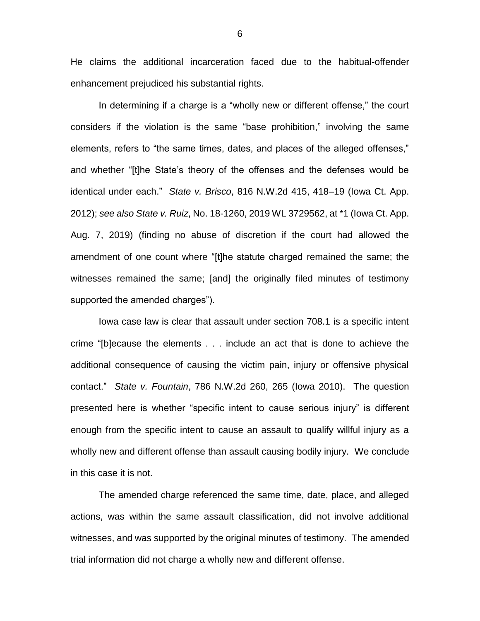He claims the additional incarceration faced due to the habitual-offender enhancement prejudiced his substantial rights.

In determining if a charge is a "wholly new or different offense," the court considers if the violation is the same "base prohibition," involving the same elements, refers to "the same times, dates, and places of the alleged offenses," and whether "[t]he State's theory of the offenses and the defenses would be identical under each." *State v. Brisco*, 816 N.W.2d 415, 418–19 (Iowa Ct. App. 2012); *see also State v. Ruiz*, No. 18-1260, 2019 WL 3729562, at \*1 (Iowa Ct. App. Aug. 7, 2019) (finding no abuse of discretion if the court had allowed the amendment of one count where "[t]he statute charged remained the same; the witnesses remained the same; [and] the originally filed minutes of testimony supported the amended charges").

Iowa case law is clear that assault under section 708.1 is a specific intent crime "[b]ecause the elements . . . include an act that is done to achieve the additional consequence of causing the victim pain, injury or offensive physical contact." *State v. Fountain*, 786 N.W.2d 260, 265 (Iowa 2010). The question presented here is whether "specific intent to cause serious injury" is different enough from the specific intent to cause an assault to qualify willful injury as a wholly new and different offense than assault causing bodily injury. We conclude in this case it is not.

The amended charge referenced the same time, date, place, and alleged actions, was within the same assault classification, did not involve additional witnesses, and was supported by the original minutes of testimony. The amended trial information did not charge a wholly new and different offense.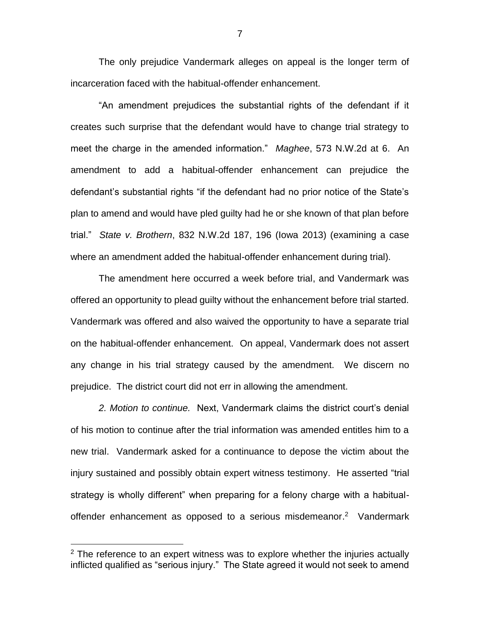The only prejudice Vandermark alleges on appeal is the longer term of incarceration faced with the habitual-offender enhancement.

"An amendment prejudices the substantial rights of the defendant if it creates such surprise that the defendant would have to change trial strategy to meet the charge in the amended information." *Maghee*, 573 N.W.2d at 6. An amendment to add a habitual-offender enhancement can prejudice the defendant's substantial rights "if the defendant had no prior notice of the State's plan to amend and would have pled guilty had he or she known of that plan before trial." *State v. Brothern*, 832 N.W.2d 187, 196 (Iowa 2013) (examining a case where an amendment added the habitual-offender enhancement during trial).

The amendment here occurred a week before trial, and Vandermark was offered an opportunity to plead guilty without the enhancement before trial started. Vandermark was offered and also waived the opportunity to have a separate trial on the habitual-offender enhancement. On appeal, Vandermark does not assert any change in his trial strategy caused by the amendment. We discern no prejudice. The district court did not err in allowing the amendment.

*2. Motion to continue.* Next, Vandermark claims the district court's denial of his motion to continue after the trial information was amended entitles him to a new trial. Vandermark asked for a continuance to depose the victim about the injury sustained and possibly obtain expert witness testimony. He asserted "trial strategy is wholly different" when preparing for a felony charge with a habitualoffender enhancement as opposed to a serious misdemeanor.<sup>2</sup> Vandermark

 $\overline{a}$ 

 $2$  The reference to an expert witness was to explore whether the injuries actually inflicted qualified as "serious injury." The State agreed it would not seek to amend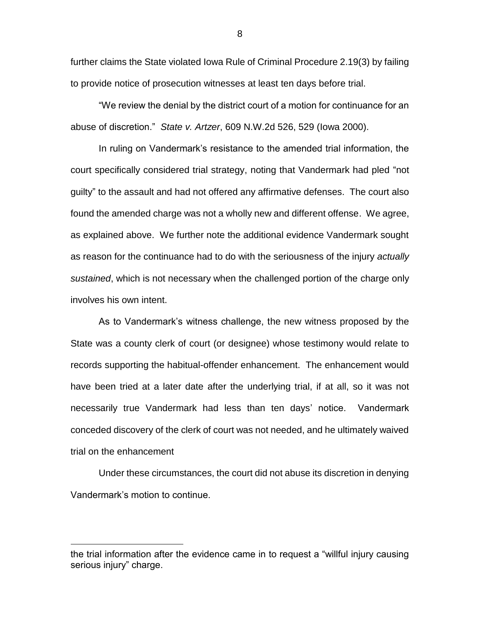further claims the State violated Iowa Rule of Criminal Procedure 2.19(3) by failing to provide notice of prosecution witnesses at least ten days before trial.

"We review the denial by the district court of a motion for continuance for an abuse of discretion." *State v. Artzer*, 609 N.W.2d 526, 529 (Iowa 2000).

In ruling on Vandermark's resistance to the amended trial information, the court specifically considered trial strategy, noting that Vandermark had pled "not guilty" to the assault and had not offered any affirmative defenses. The court also found the amended charge was not a wholly new and different offense. We agree, as explained above. We further note the additional evidence Vandermark sought as reason for the continuance had to do with the seriousness of the injury *actually sustained*, which is not necessary when the challenged portion of the charge only involves his own intent.

As to Vandermark's witness challenge, the new witness proposed by the State was a county clerk of court (or designee) whose testimony would relate to records supporting the habitual-offender enhancement. The enhancement would have been tried at a later date after the underlying trial, if at all, so it was not necessarily true Vandermark had less than ten days' notice. Vandermark conceded discovery of the clerk of court was not needed, and he ultimately waived trial on the enhancement

Under these circumstances, the court did not abuse its discretion in denying Vandermark's motion to continue.

 $\overline{a}$ 

the trial information after the evidence came in to request a "willful injury causing serious injury" charge.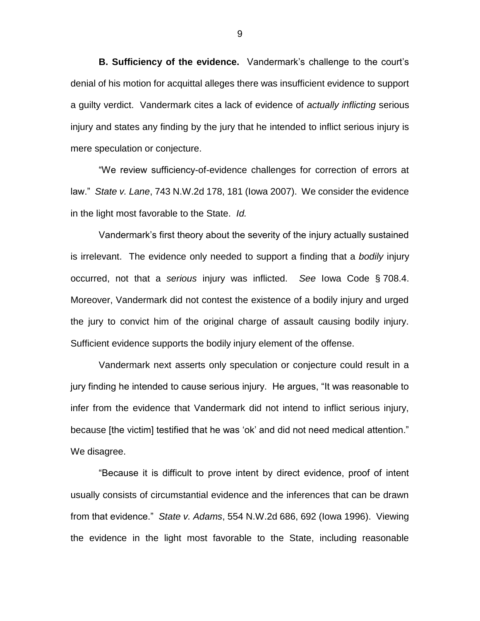**B. Sufficiency of the evidence.**Vandermark's challenge to the court's denial of his motion for acquittal alleges there was insufficient evidence to support a guilty verdict. Vandermark cites a lack of evidence of *actually inflicting* serious injury and states any finding by the jury that he intended to inflict serious injury is mere speculation or conjecture.

"We review sufficiency-of-evidence challenges for correction of errors at law." *State v. Lane*, 743 N.W.2d 178, 181 (Iowa 2007). We consider the evidence in the light most favorable to the State. *Id.*

Vandermark's first theory about the severity of the injury actually sustained is irrelevant. The evidence only needed to support a finding that a *bodily* injury occurred, not that a *serious* injury was inflicted. *See* Iowa Code § 708.4. Moreover, Vandermark did not contest the existence of a bodily injury and urged the jury to convict him of the original charge of assault causing bodily injury. Sufficient evidence supports the bodily injury element of the offense.

Vandermark next asserts only speculation or conjecture could result in a jury finding he intended to cause serious injury. He argues, "It was reasonable to infer from the evidence that Vandermark did not intend to inflict serious injury, because [the victim] testified that he was 'ok' and did not need medical attention." We disagree.

"Because it is difficult to prove intent by direct evidence, proof of intent usually consists of circumstantial evidence and the inferences that can be drawn from that evidence." *State v. Adams*, 554 N.W.2d 686, 692 (Iowa 1996). Viewing the evidence in the light most favorable to the State, including reasonable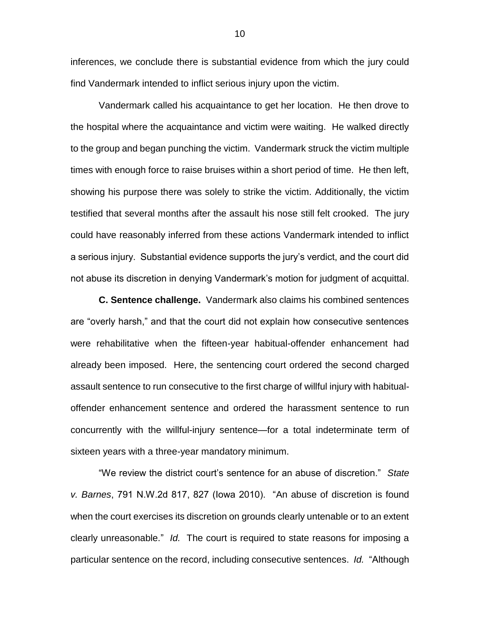inferences, we conclude there is substantial evidence from which the jury could find Vandermark intended to inflict serious injury upon the victim.

Vandermark called his acquaintance to get her location. He then drove to the hospital where the acquaintance and victim were waiting. He walked directly to the group and began punching the victim. Vandermark struck the victim multiple times with enough force to raise bruises within a short period of time. He then left, showing his purpose there was solely to strike the victim. Additionally, the victim testified that several months after the assault his nose still felt crooked. The jury could have reasonably inferred from these actions Vandermark intended to inflict a serious injury. Substantial evidence supports the jury's verdict, and the court did not abuse its discretion in denying Vandermark's motion for judgment of acquittal.

**C. Sentence challenge.** Vandermark also claims his combined sentences are "overly harsh," and that the court did not explain how consecutive sentences were rehabilitative when the fifteen-year habitual-offender enhancement had already been imposed. Here, the sentencing court ordered the second charged assault sentence to run consecutive to the first charge of willful injury with habitualoffender enhancement sentence and ordered the harassment sentence to run concurrently with the willful-injury sentence—for a total indeterminate term of sixteen years with a three-year mandatory minimum.

"We review the district court's sentence for an abuse of discretion." *State v. Barnes*, 791 N.W.2d 817, 827 (Iowa 2010). "An abuse of discretion is found when the court exercises its discretion on grounds clearly untenable or to an extent clearly unreasonable." *Id.* The court is required to state reasons for imposing a particular sentence on the record, including consecutive sentences. *Id.* "Although